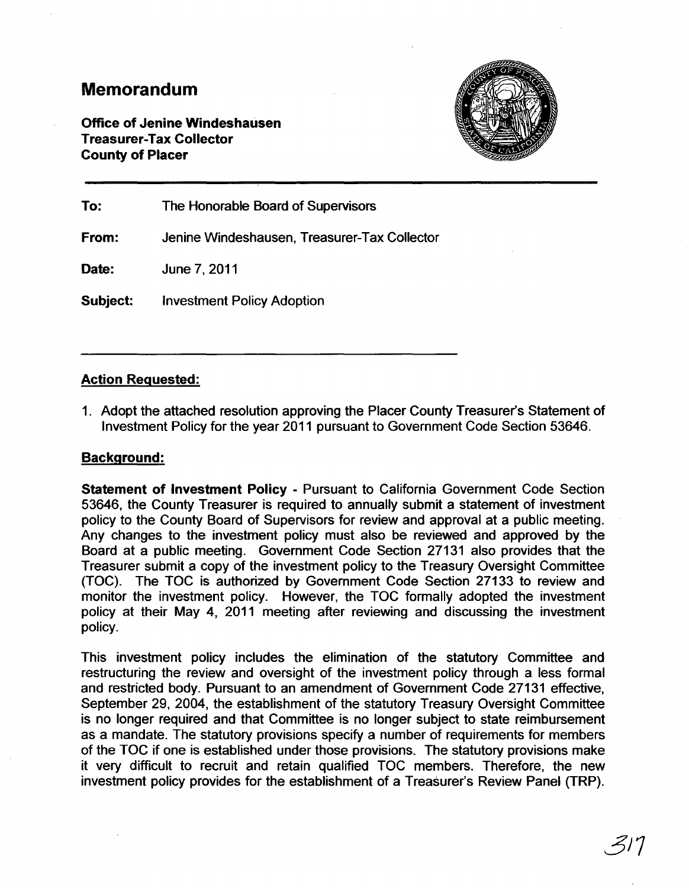## **Memorandum**

Office of Jenine Windeshausen Treasurer-Tax Collector County of Placer



To: The Honorable Board of Supervisors From: Jenine Windeshausen, Treasurer-Tax Collector Date: June 7,2011 Subject: Investment Policy Adoption

### Action Requested:

1. Adopt the attached resolution approving the Placer County Treasurer's Statement of Investment Policy for the year 2011 pursuant to Government Code Section 53646.

#### Background:

Statement of Investment Policy - Pursuant to California Government Code Section 53646, the County Treasurer is required to annually submit a statement of investment policy to the County Board of Supervisors for review and approval at a public meeting. Any changes to the investment policy must also be reviewed and approved by the Board at a public meeting. Government Code Section 27131 also provides that the Treasurer submit a copy of the investment policy to the Treasury Oversight Committee (TOC). The TOC is authorized by Government Code Section 27133 to review and monitor the investment policy. However, the TOC formally adopted the investment policy at their May 4, 2011 meeting after reviewing and discussing the investment policy.

This investment policy includes the elimination of the statutory Committee and restructuring the review and oversight of the investment policy through a less formal and restricted body. Pursuant to an amendment of Government Code 27131 effective, September 29, 2004, the establishment of the statutory Treasury Oversight Committee is no longer required and that Committee is no longer subject to state reimbursement as a mandate. The statutory provisions specify a number of requirements for members of the TOC if one is established under those provisions. The statutory provisions make it very difficult to recruit and retain qualified TOC members. Therefore, the new investment policy provides for the establishment of a Treasurer's Review Panel (TRP).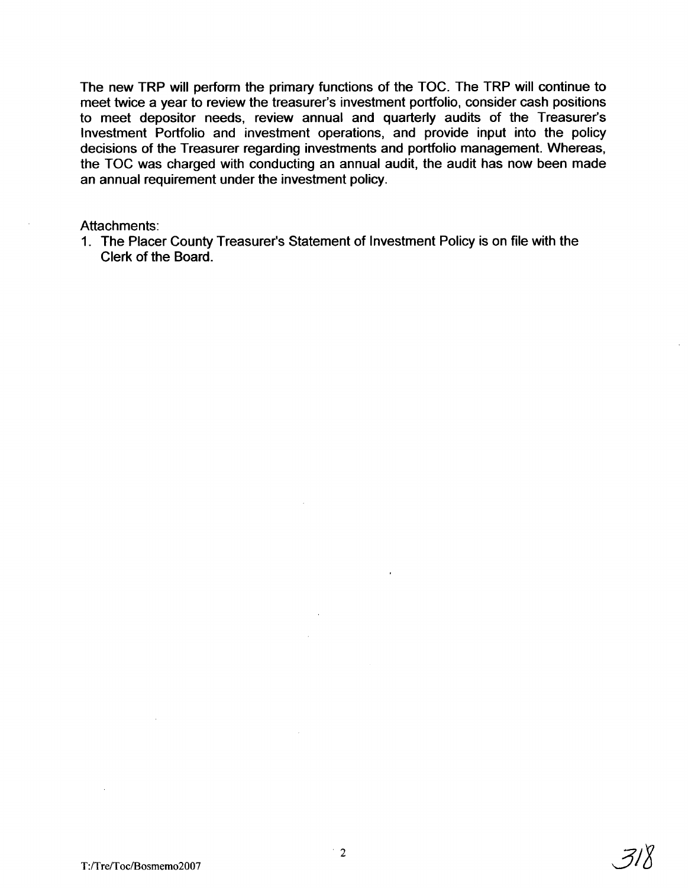The new TRP will perform the primary functions of the TOC. The TRP will continue to meet twice a year to review the treasurer's investment portfolio, consider cash positions to meet depositor needs, review annual and quarterly audits of the Treasurer's Investment Portfolio and investment operations, and provide input into the policy decisions of the Treasurer regarding investments and portfolio management. Whereas, the TOC was charged with conducting an annual audit, the audit has now been made an annual requirement under the investment policy.

#### Attachments:

1. The Placer County Treasurer's Statement of Investment Policy is on file with the Clerk of the Board.